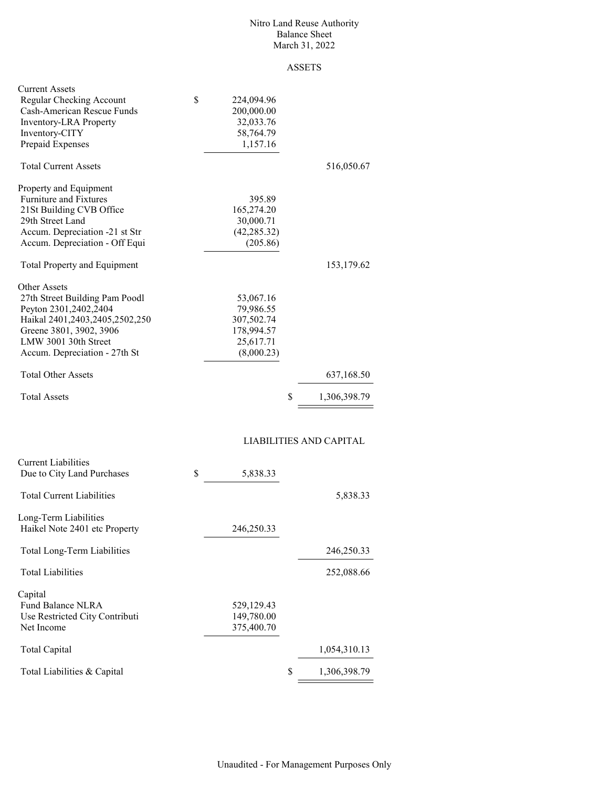#### Nitro Land Reuse Authority Balance Sheet March 31, 2022

## ASSETS

| <b>Current Assets</b>                             |                  |                         |
|---------------------------------------------------|------------------|-------------------------|
| Regular Checking Account                          | \$<br>224,094.96 |                         |
| Cash-American Rescue Funds                        | 200,000.00       |                         |
| Inventory-LRA Property                            | 32,033.76        |                         |
| Inventory-CITY                                    | 58,764.79        |                         |
|                                                   |                  |                         |
| Prepaid Expenses                                  | 1,157.16         |                         |
| <b>Total Current Assets</b>                       |                  | 516,050.67              |
| Property and Equipment                            |                  |                         |
| Furniture and Fixtures                            | 395.89           |                         |
| 21St Building CVB Office                          | 165,274.20       |                         |
| 29th Street Land                                  | 30,000.71        |                         |
| Accum. Depreciation -21 st Str                    | (42, 285.32)     |                         |
|                                                   |                  |                         |
| Accum. Depreciation - Off Equi                    | (205.86)         |                         |
| Total Property and Equipment                      |                  | 153,179.62              |
| Other Assets                                      |                  |                         |
| 27th Street Building Pam Poodl                    | 53,067.16        |                         |
| Peyton 2301,2402,2404                             | 79,986.55        |                         |
| Haikal 2401,2403,2405,2502,250                    | 307,502.74       |                         |
|                                                   |                  |                         |
| Greene 3801, 3902, 3906                           | 178,994.57       |                         |
| LMW 3001 30th Street                              | 25,617.71        |                         |
| Accum. Depreciation - 27th St                     | (8,000.23)       |                         |
| <b>Total Other Assets</b>                         |                  | 637,168.50              |
| <b>Total Assets</b>                               | \$               | 1,306,398.79            |
|                                                   |                  | LIABILITIES AND CAPITAL |
|                                                   |                  |                         |
| Current Liabilities<br>Due to City Land Purchases | \$<br>5,838.33   |                         |
|                                                   |                  |                         |
| <b>Total Current Liabilities</b>                  |                  | 5,838.33                |
| Long-Term Liabilities                             |                  |                         |
| Haikel Note 2401 etc Property                     | 246,250.33       |                         |
| Total Long-Term Liabilities                       |                  | 246,250.33              |
| <b>Total Liabilities</b>                          |                  | 252,088.66              |
|                                                   |                  |                         |
| Capital                                           |                  |                         |
| Fund Balance NLRA                                 | 529,129.43       |                         |
| Use Restricted City Contributi                    | 149,780.00       |                         |
| Net Income                                        | 375,400.70       |                         |
| <b>Total Capital</b>                              |                  | 1,054,310.13            |

Total Liabilities & Capital  $\frac{1,306,398.79}{\ldots}$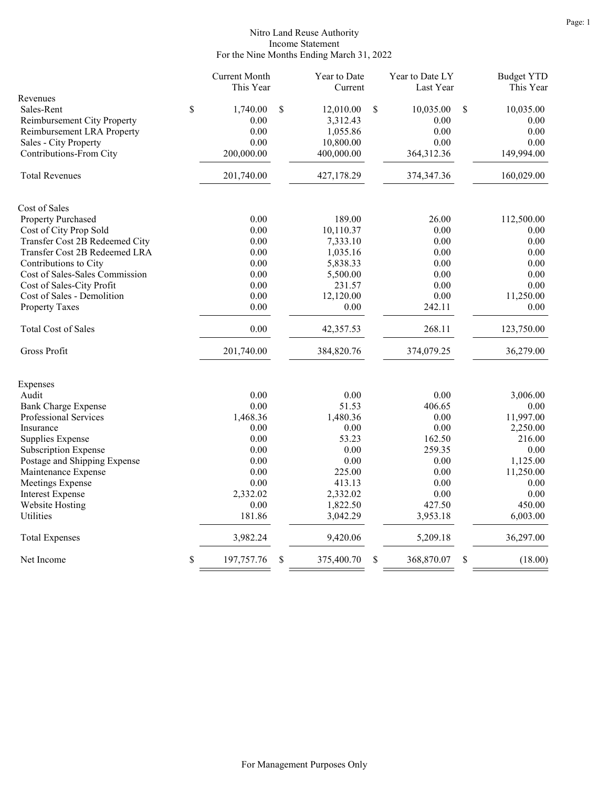### Nitro Land Reuse Authority Income Statement For the Nine Months Ending March 31, 2022

| Revenues<br>\$<br>Sales-Rent<br>1,740.00<br>\$<br>12,010.00<br>\$<br>10,035.00<br>\$<br>10,035.00<br>Reimbursement City Property<br>0.00<br>3,312.43<br>0.00<br>0.00<br>0.00<br>1,055.86<br>0.00<br>0.00<br>Reimbursement LRA Property<br>0.00<br>0.00<br>Sales - City Property<br>10,800.00<br>0.00<br>Contributions-From City<br>200,000.00<br>400,000.00<br>364,312.36<br>149,994.00<br><b>Total Revenues</b><br>201,740.00<br>160,029.00<br>427,178.29<br>374, 347. 36<br>Cost of Sales<br>189.00<br>Property Purchased<br>0.00<br>26.00<br>112,500.00<br>Cost of City Prop Sold<br>0.00<br>10,110.37<br>0.00<br>0.00<br>Transfer Cost 2B Redeemed City<br>0.00<br>7,333.10<br>0.00<br>0.00<br>Transfer Cost 2B Redeemed LRA<br>0.00<br>1,035.16<br>0.00<br>0.00<br>0.00<br>5,838.33<br>0.00<br>Contributions to City<br>0.00<br>Cost of Sales-Sales Commission<br>0.00<br>5,500.00<br>0.00<br>0.00<br>Cost of Sales-City Profit<br>0.00<br>231.57<br>0.00<br>0.00<br>Cost of Sales - Demolition<br>0.00<br>12,120.00<br>0.00<br>11,250.00<br>0.00<br>0.00<br>242.11<br>0.00<br><b>Property Taxes</b><br><b>Total Cost of Sales</b><br>0.00<br>268.11<br>42,357.53<br>123,750.00<br>Gross Profit<br>201,740.00<br>384,820.76<br>374,079.25<br>36,279.00<br>Expenses<br>Audit<br>0.00<br>0.00<br>0.00<br>3,006.00<br>0.00<br>51.53<br>406.65<br><b>Bank Charge Expense</b><br>0.00<br>Professional Services<br>1,468.36<br>1,480.36<br>11,997.00<br>0.00<br>0.00<br>0.00<br>0.00<br>2,250.00<br>Insurance<br>0.00<br>53.23<br>162.50<br>Supplies Expense<br>216.00<br>0.00<br>0.00<br>259.35<br>0.00<br>Subscription Expense<br>Postage and Shipping Expense<br>0.00<br>0.00<br>0.00<br>1,125.00<br>Maintenance Expense<br>0.00<br>225.00<br>0.00<br>11,250.00<br>Meetings Expense<br>0.00<br>413.13<br>0.00<br>0.00<br><b>Interest Expense</b><br>2,332.02<br>0.00<br>0.00<br>2,332.02<br>0.00<br>1,822.50<br>427.50<br>450.00<br><b>Website Hosting</b><br>Utilities<br>181.86<br>3,042.29<br>3,953.18<br>6,003.00<br>3,982.24<br>9,420.06<br>5,209.18<br>36,297.00<br><b>Total Expenses</b><br>\$<br>\$<br>\$<br>\$<br>(18.00)<br>Net Income<br>197,757.76<br>375,400.70<br>368,870.07 |  | <b>Current Month</b><br>This Year | Year to Date<br>Current | Year to Date LY<br>Last Year | <b>Budget YTD</b><br>This Year |
|----------------------------------------------------------------------------------------------------------------------------------------------------------------------------------------------------------------------------------------------------------------------------------------------------------------------------------------------------------------------------------------------------------------------------------------------------------------------------------------------------------------------------------------------------------------------------------------------------------------------------------------------------------------------------------------------------------------------------------------------------------------------------------------------------------------------------------------------------------------------------------------------------------------------------------------------------------------------------------------------------------------------------------------------------------------------------------------------------------------------------------------------------------------------------------------------------------------------------------------------------------------------------------------------------------------------------------------------------------------------------------------------------------------------------------------------------------------------------------------------------------------------------------------------------------------------------------------------------------------------------------------------------------------------------------------------------------------------------------------------------------------------------------------------------------------------------------------------------------------------------------------------------------------------------------------------------------------------------------------------------------------------------------------------------------------------------------------------------------------------------------------------------------------------------------------------|--|-----------------------------------|-------------------------|------------------------------|--------------------------------|
|                                                                                                                                                                                                                                                                                                                                                                                                                                                                                                                                                                                                                                                                                                                                                                                                                                                                                                                                                                                                                                                                                                                                                                                                                                                                                                                                                                                                                                                                                                                                                                                                                                                                                                                                                                                                                                                                                                                                                                                                                                                                                                                                                                                              |  |                                   |                         |                              |                                |
|                                                                                                                                                                                                                                                                                                                                                                                                                                                                                                                                                                                                                                                                                                                                                                                                                                                                                                                                                                                                                                                                                                                                                                                                                                                                                                                                                                                                                                                                                                                                                                                                                                                                                                                                                                                                                                                                                                                                                                                                                                                                                                                                                                                              |  |                                   |                         |                              |                                |
|                                                                                                                                                                                                                                                                                                                                                                                                                                                                                                                                                                                                                                                                                                                                                                                                                                                                                                                                                                                                                                                                                                                                                                                                                                                                                                                                                                                                                                                                                                                                                                                                                                                                                                                                                                                                                                                                                                                                                                                                                                                                                                                                                                                              |  |                                   |                         |                              |                                |
|                                                                                                                                                                                                                                                                                                                                                                                                                                                                                                                                                                                                                                                                                                                                                                                                                                                                                                                                                                                                                                                                                                                                                                                                                                                                                                                                                                                                                                                                                                                                                                                                                                                                                                                                                                                                                                                                                                                                                                                                                                                                                                                                                                                              |  |                                   |                         |                              |                                |
|                                                                                                                                                                                                                                                                                                                                                                                                                                                                                                                                                                                                                                                                                                                                                                                                                                                                                                                                                                                                                                                                                                                                                                                                                                                                                                                                                                                                                                                                                                                                                                                                                                                                                                                                                                                                                                                                                                                                                                                                                                                                                                                                                                                              |  |                                   |                         |                              |                                |
|                                                                                                                                                                                                                                                                                                                                                                                                                                                                                                                                                                                                                                                                                                                                                                                                                                                                                                                                                                                                                                                                                                                                                                                                                                                                                                                                                                                                                                                                                                                                                                                                                                                                                                                                                                                                                                                                                                                                                                                                                                                                                                                                                                                              |  |                                   |                         |                              |                                |
|                                                                                                                                                                                                                                                                                                                                                                                                                                                                                                                                                                                                                                                                                                                                                                                                                                                                                                                                                                                                                                                                                                                                                                                                                                                                                                                                                                                                                                                                                                                                                                                                                                                                                                                                                                                                                                                                                                                                                                                                                                                                                                                                                                                              |  |                                   |                         |                              |                                |
|                                                                                                                                                                                                                                                                                                                                                                                                                                                                                                                                                                                                                                                                                                                                                                                                                                                                                                                                                                                                                                                                                                                                                                                                                                                                                                                                                                                                                                                                                                                                                                                                                                                                                                                                                                                                                                                                                                                                                                                                                                                                                                                                                                                              |  |                                   |                         |                              |                                |
|                                                                                                                                                                                                                                                                                                                                                                                                                                                                                                                                                                                                                                                                                                                                                                                                                                                                                                                                                                                                                                                                                                                                                                                                                                                                                                                                                                                                                                                                                                                                                                                                                                                                                                                                                                                                                                                                                                                                                                                                                                                                                                                                                                                              |  |                                   |                         |                              |                                |
|                                                                                                                                                                                                                                                                                                                                                                                                                                                                                                                                                                                                                                                                                                                                                                                                                                                                                                                                                                                                                                                                                                                                                                                                                                                                                                                                                                                                                                                                                                                                                                                                                                                                                                                                                                                                                                                                                                                                                                                                                                                                                                                                                                                              |  |                                   |                         |                              |                                |
|                                                                                                                                                                                                                                                                                                                                                                                                                                                                                                                                                                                                                                                                                                                                                                                                                                                                                                                                                                                                                                                                                                                                                                                                                                                                                                                                                                                                                                                                                                                                                                                                                                                                                                                                                                                                                                                                                                                                                                                                                                                                                                                                                                                              |  |                                   |                         |                              |                                |
|                                                                                                                                                                                                                                                                                                                                                                                                                                                                                                                                                                                                                                                                                                                                                                                                                                                                                                                                                                                                                                                                                                                                                                                                                                                                                                                                                                                                                                                                                                                                                                                                                                                                                                                                                                                                                                                                                                                                                                                                                                                                                                                                                                                              |  |                                   |                         |                              |                                |
|                                                                                                                                                                                                                                                                                                                                                                                                                                                                                                                                                                                                                                                                                                                                                                                                                                                                                                                                                                                                                                                                                                                                                                                                                                                                                                                                                                                                                                                                                                                                                                                                                                                                                                                                                                                                                                                                                                                                                                                                                                                                                                                                                                                              |  |                                   |                         |                              |                                |
|                                                                                                                                                                                                                                                                                                                                                                                                                                                                                                                                                                                                                                                                                                                                                                                                                                                                                                                                                                                                                                                                                                                                                                                                                                                                                                                                                                                                                                                                                                                                                                                                                                                                                                                                                                                                                                                                                                                                                                                                                                                                                                                                                                                              |  |                                   |                         |                              |                                |
|                                                                                                                                                                                                                                                                                                                                                                                                                                                                                                                                                                                                                                                                                                                                                                                                                                                                                                                                                                                                                                                                                                                                                                                                                                                                                                                                                                                                                                                                                                                                                                                                                                                                                                                                                                                                                                                                                                                                                                                                                                                                                                                                                                                              |  |                                   |                         |                              |                                |
|                                                                                                                                                                                                                                                                                                                                                                                                                                                                                                                                                                                                                                                                                                                                                                                                                                                                                                                                                                                                                                                                                                                                                                                                                                                                                                                                                                                                                                                                                                                                                                                                                                                                                                                                                                                                                                                                                                                                                                                                                                                                                                                                                                                              |  |                                   |                         |                              |                                |
|                                                                                                                                                                                                                                                                                                                                                                                                                                                                                                                                                                                                                                                                                                                                                                                                                                                                                                                                                                                                                                                                                                                                                                                                                                                                                                                                                                                                                                                                                                                                                                                                                                                                                                                                                                                                                                                                                                                                                                                                                                                                                                                                                                                              |  |                                   |                         |                              |                                |
|                                                                                                                                                                                                                                                                                                                                                                                                                                                                                                                                                                                                                                                                                                                                                                                                                                                                                                                                                                                                                                                                                                                                                                                                                                                                                                                                                                                                                                                                                                                                                                                                                                                                                                                                                                                                                                                                                                                                                                                                                                                                                                                                                                                              |  |                                   |                         |                              |                                |
|                                                                                                                                                                                                                                                                                                                                                                                                                                                                                                                                                                                                                                                                                                                                                                                                                                                                                                                                                                                                                                                                                                                                                                                                                                                                                                                                                                                                                                                                                                                                                                                                                                                                                                                                                                                                                                                                                                                                                                                                                                                                                                                                                                                              |  |                                   |                         |                              |                                |
|                                                                                                                                                                                                                                                                                                                                                                                                                                                                                                                                                                                                                                                                                                                                                                                                                                                                                                                                                                                                                                                                                                                                                                                                                                                                                                                                                                                                                                                                                                                                                                                                                                                                                                                                                                                                                                                                                                                                                                                                                                                                                                                                                                                              |  |                                   |                         |                              |                                |
|                                                                                                                                                                                                                                                                                                                                                                                                                                                                                                                                                                                                                                                                                                                                                                                                                                                                                                                                                                                                                                                                                                                                                                                                                                                                                                                                                                                                                                                                                                                                                                                                                                                                                                                                                                                                                                                                                                                                                                                                                                                                                                                                                                                              |  |                                   |                         |                              |                                |
|                                                                                                                                                                                                                                                                                                                                                                                                                                                                                                                                                                                                                                                                                                                                                                                                                                                                                                                                                                                                                                                                                                                                                                                                                                                                                                                                                                                                                                                                                                                                                                                                                                                                                                                                                                                                                                                                                                                                                                                                                                                                                                                                                                                              |  |                                   |                         |                              |                                |
|                                                                                                                                                                                                                                                                                                                                                                                                                                                                                                                                                                                                                                                                                                                                                                                                                                                                                                                                                                                                                                                                                                                                                                                                                                                                                                                                                                                                                                                                                                                                                                                                                                                                                                                                                                                                                                                                                                                                                                                                                                                                                                                                                                                              |  |                                   |                         |                              |                                |
|                                                                                                                                                                                                                                                                                                                                                                                                                                                                                                                                                                                                                                                                                                                                                                                                                                                                                                                                                                                                                                                                                                                                                                                                                                                                                                                                                                                                                                                                                                                                                                                                                                                                                                                                                                                                                                                                                                                                                                                                                                                                                                                                                                                              |  |                                   |                         |                              |                                |
|                                                                                                                                                                                                                                                                                                                                                                                                                                                                                                                                                                                                                                                                                                                                                                                                                                                                                                                                                                                                                                                                                                                                                                                                                                                                                                                                                                                                                                                                                                                                                                                                                                                                                                                                                                                                                                                                                                                                                                                                                                                                                                                                                                                              |  |                                   |                         |                              |                                |
|                                                                                                                                                                                                                                                                                                                                                                                                                                                                                                                                                                                                                                                                                                                                                                                                                                                                                                                                                                                                                                                                                                                                                                                                                                                                                                                                                                                                                                                                                                                                                                                                                                                                                                                                                                                                                                                                                                                                                                                                                                                                                                                                                                                              |  |                                   |                         |                              |                                |
|                                                                                                                                                                                                                                                                                                                                                                                                                                                                                                                                                                                                                                                                                                                                                                                                                                                                                                                                                                                                                                                                                                                                                                                                                                                                                                                                                                                                                                                                                                                                                                                                                                                                                                                                                                                                                                                                                                                                                                                                                                                                                                                                                                                              |  |                                   |                         |                              |                                |
|                                                                                                                                                                                                                                                                                                                                                                                                                                                                                                                                                                                                                                                                                                                                                                                                                                                                                                                                                                                                                                                                                                                                                                                                                                                                                                                                                                                                                                                                                                                                                                                                                                                                                                                                                                                                                                                                                                                                                                                                                                                                                                                                                                                              |  |                                   |                         |                              |                                |
|                                                                                                                                                                                                                                                                                                                                                                                                                                                                                                                                                                                                                                                                                                                                                                                                                                                                                                                                                                                                                                                                                                                                                                                                                                                                                                                                                                                                                                                                                                                                                                                                                                                                                                                                                                                                                                                                                                                                                                                                                                                                                                                                                                                              |  |                                   |                         |                              |                                |
|                                                                                                                                                                                                                                                                                                                                                                                                                                                                                                                                                                                                                                                                                                                                                                                                                                                                                                                                                                                                                                                                                                                                                                                                                                                                                                                                                                                                                                                                                                                                                                                                                                                                                                                                                                                                                                                                                                                                                                                                                                                                                                                                                                                              |  |                                   |                         |                              |                                |
|                                                                                                                                                                                                                                                                                                                                                                                                                                                                                                                                                                                                                                                                                                                                                                                                                                                                                                                                                                                                                                                                                                                                                                                                                                                                                                                                                                                                                                                                                                                                                                                                                                                                                                                                                                                                                                                                                                                                                                                                                                                                                                                                                                                              |  |                                   |                         |                              |                                |
|                                                                                                                                                                                                                                                                                                                                                                                                                                                                                                                                                                                                                                                                                                                                                                                                                                                                                                                                                                                                                                                                                                                                                                                                                                                                                                                                                                                                                                                                                                                                                                                                                                                                                                                                                                                                                                                                                                                                                                                                                                                                                                                                                                                              |  |                                   |                         |                              |                                |
|                                                                                                                                                                                                                                                                                                                                                                                                                                                                                                                                                                                                                                                                                                                                                                                                                                                                                                                                                                                                                                                                                                                                                                                                                                                                                                                                                                                                                                                                                                                                                                                                                                                                                                                                                                                                                                                                                                                                                                                                                                                                                                                                                                                              |  |                                   |                         |                              |                                |
|                                                                                                                                                                                                                                                                                                                                                                                                                                                                                                                                                                                                                                                                                                                                                                                                                                                                                                                                                                                                                                                                                                                                                                                                                                                                                                                                                                                                                                                                                                                                                                                                                                                                                                                                                                                                                                                                                                                                                                                                                                                                                                                                                                                              |  |                                   |                         |                              |                                |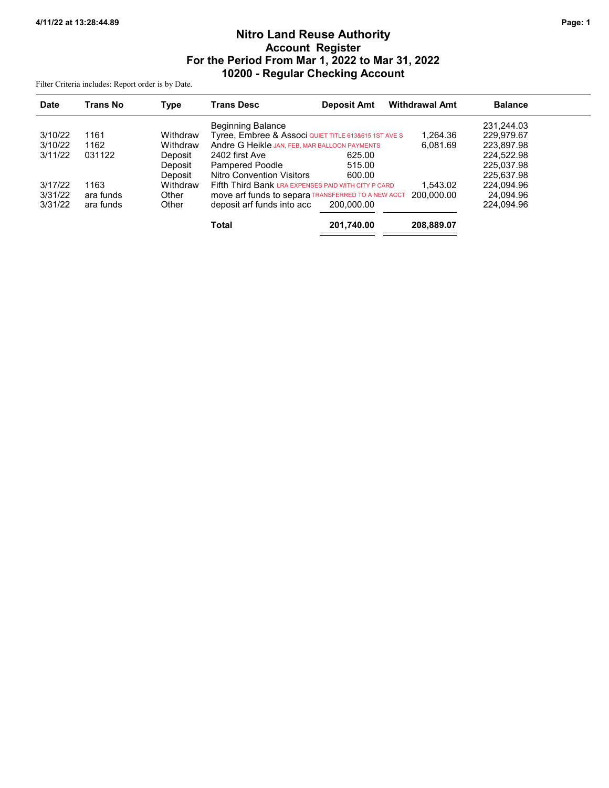# Nitro Land Reuse Authority Account Register For the Period From Mar 1, 2022 to Mar 31, 2022 10200 - Regular Checking Account

Filter Criteria includes: Report order is by Date.

| <b>Date</b> | Trans No  | <b>Type</b> | <b>Trans Desc</b>                                    | <b>Deposit Amt</b> | <b>Withdrawal Amt</b> | <b>Balance</b> |  |
|-------------|-----------|-------------|------------------------------------------------------|--------------------|-----------------------|----------------|--|
|             |           |             | <b>Beginning Balance</b>                             |                    |                       | 231,244.03     |  |
| 3/10/22     | 1161      | Withdraw    | Tyree, Embree & Associ QUIET TITLE 613&615 1ST AVE S |                    | 1,264.36              | 229.979.67     |  |
| 3/10/22     | 1162      | Withdraw    | Andre G Heikle JAN, FEB, MAR BALLOON PAYMENTS        |                    | 6.081.69              | 223,897.98     |  |
| 3/11/22     | 031122    | Deposit     | 2402 first Ave                                       | 625.00             |                       | 224.522.98     |  |
|             |           | Deposit     | Pampered Poodle                                      | 515.00             |                       | 225.037.98     |  |
|             |           | Deposit     | <b>Nitro Convention Visitors</b>                     | 600.00             |                       | 225.637.98     |  |
| 3/17/22     | 1163      | Withdraw    | Fifth Third Bank LRA EXPENSES PAID WITH CITY P CARD  |                    | 1.543.02              | 224,094.96     |  |
| 3/31/22     | ara funds | Other       | MOVE arf funds to separa TRANSFERRED TO A NEW ACCT   |                    | 200,000.00            | 24.094.96      |  |
| 3/31/22     | ara funds | Other       | deposit arf funds into acc                           | 200.000.00         |                       | 224.094.96     |  |
|             |           |             | <b>Total</b>                                         | 201,740.00         | 208,889.07            |                |  |